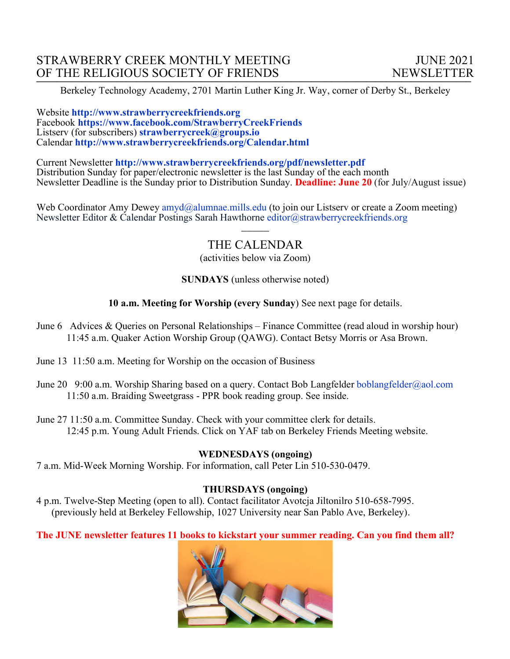Berkeley Technology Academy, 2701 Martin Luther King Jr. Way, corner of Derby St., Berkeley

#### Website **http://www.strawberrycreekfriends.org**  Facebook **https://www.facebook.com/StrawberryCreekFriends** Listserv (for subscribers) **strawberrycreek@groups.io** Calendar **http://www.strawberrycreekfriends.org/Calendar.html**

Current Newsletter **http://www.strawberrycreekfriends.org/pdf/newsletter.pdf** Distribution Sunday for paper/electronic newsletter is the last Sunday of the each month Newsletter Deadline is the Sunday prior to Distribution Sunday. **Deadline: June 20** (for July/August issue)

Web Coordinator Amy Dewey amyd@alumnae.mills.edu (to join our Listsery or create a Zoom meeting) Newsletter Editor & Calendar Postings Sarah Hawthorne editor@strawberrycreekfriends.org

# THE CALENDAR

 $\overline{\phantom{a}}$ 

(activities below via Zoom)

**SUNDAYS** (unless otherwise noted)

**10 a.m. Meeting for Worship (every Sunday**) See next page for details.

- June 6 Advices & Queries on Personal Relationships Finance Committee (read aloud in worship hour) 11:45 a.m. Quaker Action Worship Group (QAWG). Contact Betsy Morris or Asa Brown.
- June 13 11:50 a.m. Meeting for Worship on the occasion of Business
- June 20 9:00 a.m. Worship Sharing based on a query. Contact Bob Langfelder boblangfelder@aol.com 11:50 a.m. Braiding Sweetgrass - PPR book reading group. See inside.
- June 27 11:50 a.m. Committee Sunday. Check with your committee clerk for details. 12:45 p.m. Young Adult Friends. Click on YAF tab on Berkeley Friends Meeting website.

### **WEDNESDAYS (ongoing)**

7 a.m. Mid-Week Morning Worship. For information, call Peter Lin 510-530-0479.

### **THURSDAYS (ongoing)**

4 p.m. Twelve-Step Meeting (open to all). Contact facilitator Avotcja Jiltonilro 510-658-7995. (previously held at Berkeley Fellowship, 1027 University near San Pablo Ave, Berkeley).

**The JUNE newsletter features 11 books to kickstart your summer reading. Can you find them all?**

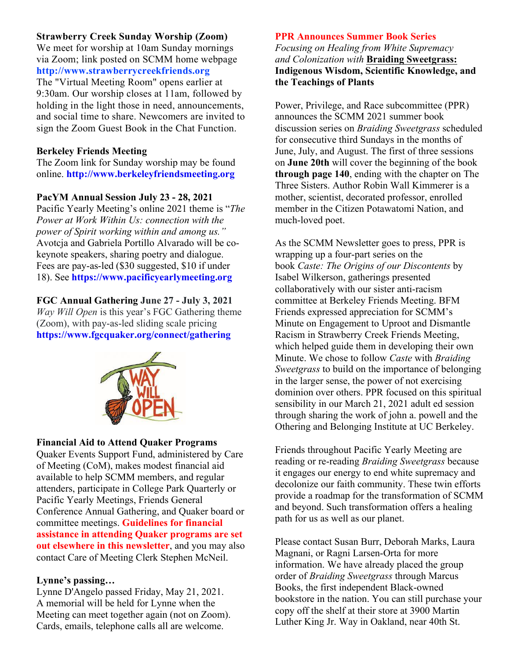### **Strawberry Creek Sunday Worship (Zoom)**

We meet for worship at 10am Sunday mornings via Zoom; link posted on SCMM home webpage **http://www.strawberrycreekfriends.org** The "Virtual Meeting Room" opens earlier at 9:30am. Our worship closes at 11am, followed by holding in the light those in need, announcements, and social time to share. Newcomers are invited to sign the Zoom Guest Book in the Chat Function.

#### **Berkeley Friends Meeting**

The Zoom link for Sunday worship may be found online. **http://www.berkeleyfriendsmeeting.org**

#### **PacYM Annual Session July 23 - 28, 2021**

Pacific Yearly Meeting's online 2021 theme is "*The Power at Work Within Us: connection with the power of Spirit working within and among us."* Avotcja and Gabriela Portillo Alvarado will be cokeynote speakers, sharing poetry and dialogue. Fees are pay-as-led (\$30 suggested, \$10 if under 18). See **https://www.pacificyearlymeeting.org**

#### **FGC Annual Gathering June 27 - July 3, 2021**

*Way Will Open* is this year's FGC Gathering theme (Zoom), with pay-as-led sliding scale pricing **https://www.fgcquaker.org/connect/gathering**



#### **Financial Aid to Attend Quaker Programs**

Quaker Events Support Fund, administered by Care of Meeting (CoM), makes modest financial aid available to help SCMM members, and regular attenders, participate in College Park Quarterly or Pacific Yearly Meetings, Friends General Conference Annual Gathering, and Quaker board or committee meetings. **Guidelines for financial assistance in attending Quaker programs are set out elsewhere in this newsletter**, and you may also contact Care of Meeting Clerk Stephen McNeil.

#### **Lynne's passing…**

Lynne D'Angelo passed Friday, May 21, 2021. A memorial will be held for Lynne when the Meeting can meet together again (not on Zoom). Cards, emails, telephone calls all are welcome.

#### **PPR Announces Summer Book Series**

*Focusing on Healing from White Supremacy and Colonization with* **Braiding Sweetgrass: Indigenous Wisdom, Scientific Knowledge, and the Teachings of Plants**

Power, Privilege, and Race subcommittee (PPR) announces the SCMM 2021 summer book discussion series on *Braiding Sweetgrass* scheduled for consecutive third Sundays in the months of June, July, and August. The first of three sessions on **June 20th** will cover the beginning of the book **through page 140**, ending with the chapter on The Three Sisters. Author Robin Wall Kimmerer is a mother, scientist, decorated professor, enrolled member in the Citizen Potawatomi Nation, and much-loved poet.

As the SCMM Newsletter goes to press, PPR is wrapping up a four-part series on the book *Caste: The Origins of our Discontents* by Isabel Wilkerson, gatherings presented collaboratively with our sister anti-racism committee at Berkeley Friends Meeting. BFM Friends expressed appreciation for SCMM's Minute on Engagement to Uproot and Dismantle Racism in Strawberry Creek Friends Meeting, which helped guide them in developing their own Minute. We chose to follow *Caste* with *Braiding Sweetgrass* to build on the importance of belonging in the larger sense, the power of not exercising dominion over others. PPR focused on this spiritual sensibility in our March 21, 2021 adult ed session through sharing the work of john a. powell and the Othering and Belonging Institute at UC Berkeley.

Friends throughout Pacific Yearly Meeting are reading or re-reading *Braiding Sweetgrass* because it engages our energy to end white supremacy and decolonize our faith community. These twin efforts provide a roadmap for the transformation of SCMM and beyond. Such transformation offers a healing path for us as well as our planet.

Please contact Susan Burr, Deborah Marks, Laura Magnani, or Ragni Larsen-Orta for more information. We have already placed the group order of *Braiding Sweetgrass* through Marcus Books, the first independent Black-owned bookstore in the nation. You can still purchase your copy off the shelf at their store at 3900 Martin Luther King Jr. Way in Oakland, near 40th St.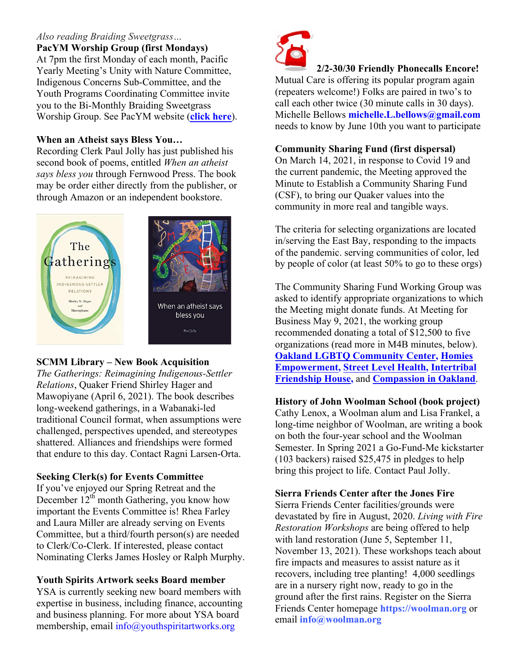### *Also reading Braiding Sweetgrass…*

**PacYM Worship Group (first Mondays)** At 7pm the first Monday of each month, Pacific Yearly Meeting's Unity with Nature Committee, Indigenous Concerns Sub-Committee, and the Youth Programs Coordinating Committee invite you to the Bi-Monthly Braiding Sweetgrass Worship Group. See PacYM website (**click here**).

### **When an Atheist says Bless You…**

Recording Clerk Paul Jolly has just published his second book of poems, entitled *When an atheist says bless you* through Fernwood Press. The book may be order either directly from the publisher, or through Amazon or an independent bookstore.



### **SCMM Library – New Book Acquisition**

*The Gatherings: Reimagining Indigenous-Settler Relations*, Quaker Friend Shirley Hager and Mawopiyane (April 6, 2021). The book describes long-weekend gatherings, in a Wabanaki-led traditional Council format, when assumptions were challenged, perspectives upended, and stereotypes shattered. Alliances and friendships were formed that endure to this day. Contact Ragni Larsen-Orta.

### **Seeking Clerk(s) for Events Committee**

If you've enjoyed our Spring Retreat and the December  $12^{th}$  month Gathering, you know how important the Events Committee is! Rhea Farley and Laura Miller are already serving on Events Committee, but a third/fourth person(s) are needed to Clerk/Co-Clerk. If interested, please contact Nominating Clerks James Hosley or Ralph Murphy.

### **Youth Spirits Artwork seeks Board member**

YSA is currently seeking new board members with expertise in business, including finance, accounting and business planning. For more about YSA board membership, email info@youthspiritartworks.org



### **2/2-30/30 Friendly Phonecalls Encore!**

Mutual Care is offering its popular program again (repeaters welcome!) Folks are paired in two's to call each other twice (30 minute calls in 30 days). Michelle Bellows **michelle.L.bellows@gmail.com** needs to know by June 10th you want to participate

### **Community Sharing Fund (first dispersal)**

On March 14, 2021, in response to Covid 19 and the current pandemic, the Meeting approved the Minute to Establish a Community Sharing Fund (CSF), to bring our Quaker values into the community in more real and tangible ways.

The criteria for selecting organizations are located in/serving the East Bay, responding to the impacts of the pandemic. serving communities of color, led by people of color (at least 50% to go to these orgs)

The Community Sharing Fund Working Group was asked to identify appropriate organizations to which the Meeting might donate funds. At Meeting for Business May 9, 2021, the working group recommended donating a total of \$12,500 to five organizations (read more in M4B minutes, below). **Oakland LGBTQ Community Center, Homies Empowerment, Street Level Health, Intertribal Friendship House,** and **Compassion in Oakland**.

## **History of John Woolman School (book project)**

Cathy Lenox, a Woolman alum and Lisa Frankel, a long-time neighbor of Woolman, are writing a book on both the four-year school and the Woolman Semester. In Spring 2021 a Go-Fund-Me kickstarter (103 backers) raised \$25,475 in pledges to help bring this project to life. Contact Paul Jolly.

### **Sierra Friends Center after the Jones Fire**

Sierra Friends Center facilities/grounds were devastated by fire in August, 2020. *Living with Fire Restoration Workshops* are being offered to help with land restoration (June 5, September 11, November 13, 2021). These workshops teach about fire impacts and measures to assist nature as it recovers, including tree planting! 4,000 seedlings are in a nursery right now, ready to go in the ground after the first rains. Register on the Sierra Friends Center homepage **https://woolman.org** or email **info@woolman.org**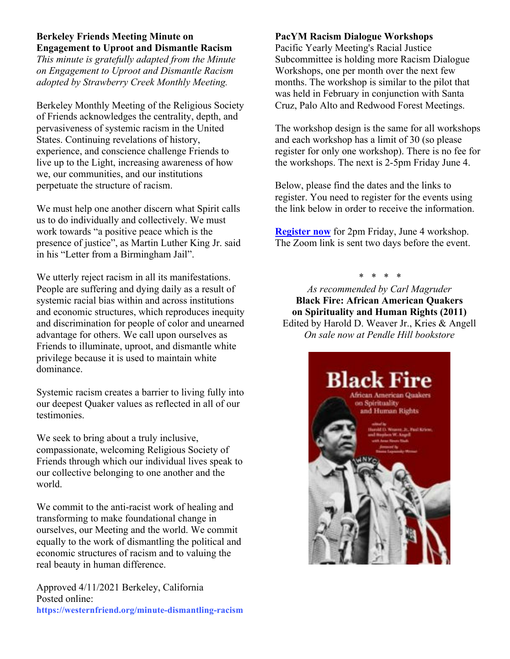### **Berkeley Friends Meeting Minute on Engagement to Uproot and Dismantle Racism**

*This minute is gratefully adapted from the Minute on Engagement to Uproot and Dismantle Racism adopted by Strawberry Creek Monthly Meeting.*

Berkeley Monthly Meeting of the Religious Society of Friends acknowledges the centrality, depth, and pervasiveness of systemic racism in the United States. Continuing revelations of history, experience, and conscience challenge Friends to live up to the Light, increasing awareness of how we, our communities, and our institutions perpetuate the structure of racism.

We must help one another discern what Spirit calls us to do individually and collectively. We must work towards "a positive peace which is the presence of justice", as Martin Luther King Jr. said in his "Letter from a Birmingham Jail".

We utterly reject racism in all its manifestations. People are suffering and dying daily as a result of systemic racial bias within and across institutions and economic structures, which reproduces inequity and discrimination for people of color and unearned advantage for others. We call upon ourselves as Friends to illuminate, uproot, and dismantle white privilege because it is used to maintain white dominance.

Systemic racism creates a barrier to living fully into our deepest Quaker values as reflected in all of our testimonies.

We seek to bring about a truly inclusive, compassionate, welcoming Religious Society of Friends through which our individual lives speak to our collective belonging to one another and the world.

We commit to the anti-racist work of healing and transforming to make foundational change in ourselves, our Meeting and the world. We commit equally to the work of dismantling the political and economic structures of racism and to valuing the real beauty in human difference.

Approved 4/11/2021 Berkeley, California Posted online: **https://westernfriend.org/minute-dismantling-racism**

### **PacYM Racism Dialogue Workshops**

Pacific Yearly Meeting's Racial Justice Subcommittee is holding more Racism Dialogue Workshops, one per month over the next few months. The workshop is similar to the pilot that was held in February in conjunction with Santa Cruz, Palo Alto and Redwood Forest Meetings.

The workshop design is the same for all workshops and each workshop has a limit of 30 (so please register for only one workshop). There is no fee for the workshops. The next is 2-5pm Friday June 4.

Below, please find the dates and the links to register. You need to register for the events using the link below in order to receive the information.

**Register now** for 2pm Friday, June 4 workshop. The Zoom link is sent two days before the event.

*\* \* \* \**

*As recommended by Carl Magruder* **Black Fire: African American Quakers on Spirituality and Human Rights (2011)** Edited by Harold D. Weaver Jr., Kries & Angell *On sale now at Pendle Hill bookstore*

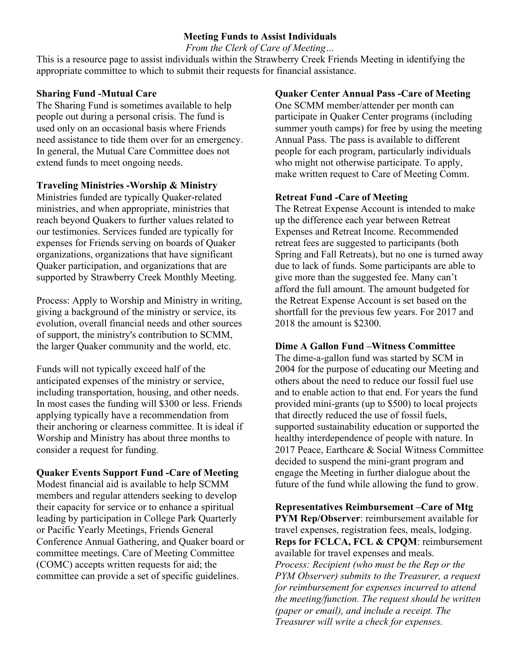### **Meeting Funds to Assist Individuals**

*From the Clerk of Care of Meeting…*

This is a resource page to assist individuals within the Strawberry Creek Friends Meeting in identifying the appropriate committee to which to submit their requests for financial assistance.

### **Sharing Fund -Mutual Care**

The Sharing Fund is sometimes available to help people out during a personal crisis. The fund is used only on an occasional basis where Friends need assistance to tide them over for an emergency. In general, the Mutual Care Committee does not extend funds to meet ongoing needs.

### **Traveling Ministries -Worship & Ministry**

Ministries funded are typically Quaker-related ministries, and when appropriate, ministries that reach beyond Quakers to further values related to our testimonies. Services funded are typically for expenses for Friends serving on boards of Quaker organizations, organizations that have significant Quaker participation, and organizations that are supported by Strawberry Creek Monthly Meeting.

Process: Apply to Worship and Ministry in writing, giving a background of the ministry or service, its evolution, overall financial needs and other sources of support, the ministry's contribution to SCMM, the larger Quaker community and the world, etc.

Funds will not typically exceed half of the anticipated expenses of the ministry or service, including transportation, housing, and other needs. In most cases the funding will \$300 or less. Friends applying typically have a recommendation from their anchoring or clearness committee. It is ideal if Worship and Ministry has about three months to consider a request for funding.

### **Quaker Events Support Fund -Care of Meeting**

Modest financial aid is available to help SCMM members and regular attenders seeking to develop their capacity for service or to enhance a spiritual leading by participation in College Park Quarterly or Pacific Yearly Meetings, Friends General Conference Annual Gathering, and Quaker board or committee meetings. Care of Meeting Committee (COMC) accepts written requests for aid; the committee can provide a set of specific guidelines.

### **Quaker Center Annual Pass -Care of Meeting**

One SCMM member/attender per month can participate in Quaker Center programs (including summer youth camps) for free by using the meeting Annual Pass. The pass is available to different people for each program, particularly individuals who might not otherwise participate. To apply, make written request to Care of Meeting Comm.

### **Retreat Fund -Care of Meeting**

The Retreat Expense Account is intended to make up the difference each year between Retreat Expenses and Retreat Income. Recommended retreat fees are suggested to participants (both Spring and Fall Retreats), but no one is turned away due to lack of funds. Some participants are able to give more than the suggested fee. Many can't afford the full amount. The amount budgeted for the Retreat Expense Account is set based on the shortfall for the previous few years. For 2017 and 2018 the amount is \$2300.

### **Dime A Gallon Fund –Witness Committee**

The dime-a-gallon fund was started by SCM in 2004 for the purpose of educating our Meeting and others about the need to reduce our fossil fuel use and to enable action to that end. For years the fund provided mini-grants (up to \$500) to local projects that directly reduced the use of fossil fuels, supported sustainability education or supported the healthy interdependence of people with nature. In 2017 Peace, Earthcare & Social Witness Committee decided to suspend the mini-grant program and engage the Meeting in further dialogue about the future of the fund while allowing the fund to grow.

**Representatives Reimbursement –Care of Mtg PYM Rep/Observer**: reimbursement available for travel expenses, registration fees, meals, lodging. **Reps for FCLCA, FCL & CPQM**: reimbursement available for travel expenses and meals. *Process: Recipient (who must be the Rep or the PYM Observer) submits to the Treasurer, a request for reimbursement for expenses incurred to attend the meeting/function. The request should be written (paper or email), and include a receipt. The Treasurer will write a check for expenses.*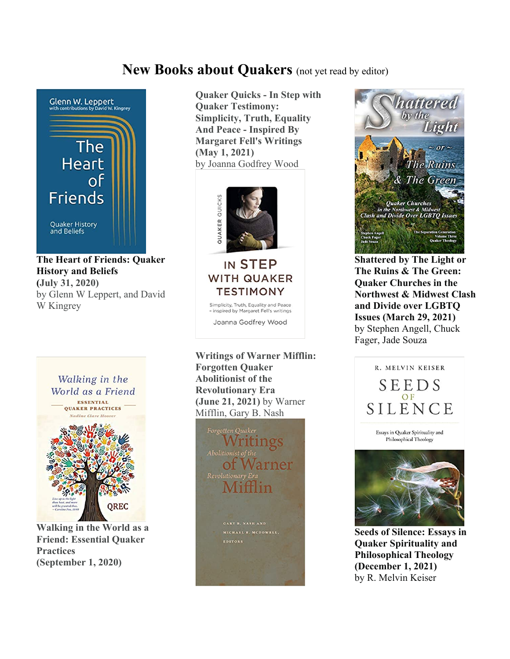# **New Books about Quakers** (not yet read by editor)



**The Heart of Friends: Quaker History and Beliefs (July 31, 2020)** by Glenn W Leppert, and David W Kingrey



**Walking in the World as a Friend: Essential Quaker Practices (September 1, 2020)**

**Quaker Quicks - In Step with Quaker Testimony: Simplicity, Truth, Equality And Peace - Inspired By Margaret Fell's Writings (May 1, 2021)** by Joanna Godfrey Wood



IN STEP **WITH QUAKER** TESTIMONY Simplicity, Truth, Equality and Peace<br>- inspired by Margaret Fell's writings Joanna Godfrey Wood

**Writings of Warner Mifflin: Forgotten Quaker Abolitionist of the Revolutionary Era (June 21, 2021)** by Warner Mifflin, Gary B. Nash





**Shattered by The Light or The Ruins & The Green: Quaker Churches in the Northwest & Midwest Clash and Divide over LGBTQ Issues (March 29, 2021)** by Stephen Angell, Chuck Fager, Jade Souza



**Seeds of Silence: Essays in Quaker Spirituality and Philosophical Theology (December 1, 2021)** by R. Melvin Keiser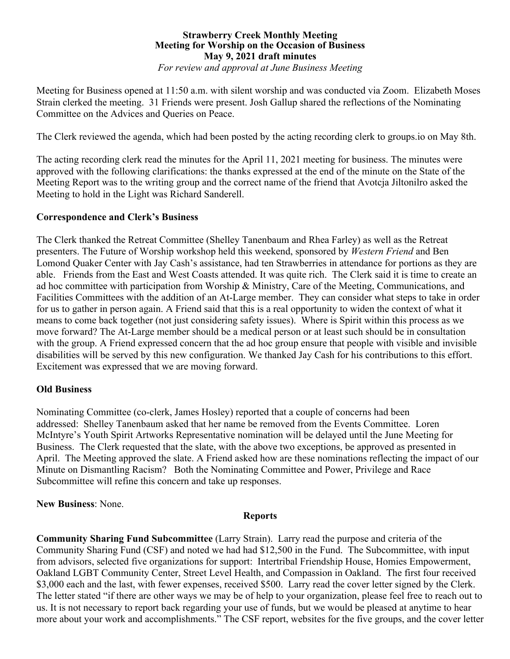### **Strawberry Creek Monthly Meeting Meeting for Worship on the Occasion of Business May 9, 2021 draft minutes**

*For review and approval at June Business Meeting*

Meeting for Business opened at 11:50 a.m. with silent worship and was conducted via Zoom. Elizabeth Moses Strain clerked the meeting. 31 Friends were present. Josh Gallup shared the reflections of the Nominating Committee on the Advices and Queries on Peace.

The Clerk reviewed the agenda, which had been posted by the acting recording clerk to groups.io on May 8th.

The acting recording clerk read the minutes for the April 11, 2021 meeting for business. The minutes were approved with the following clarifications: the thanks expressed at the end of the minute on the State of the Meeting Report was to the writing group and the correct name of the friend that Avotcja Jiltonilro asked the Meeting to hold in the Light was Richard Sanderell.

### **Correspondence and Clerk's Business**

The Clerk thanked the Retreat Committee (Shelley Tanenbaum and Rhea Farley) as well as the Retreat presenters. The Future of Worship workshop held this weekend, sponsored by *Western Friend* and Ben Lomond Quaker Center with Jay Cash's assistance, had ten Strawberries in attendance for portions as they are able. Friends from the East and West Coasts attended. It was quite rich. The Clerk said it is time to create an ad hoc committee with participation from Worship & Ministry, Care of the Meeting, Communications, and Facilities Committees with the addition of an At-Large member. They can consider what steps to take in order for us to gather in person again. A Friend said that this is a real opportunity to widen the context of what it means to come back together (not just considering safety issues). Where is Spirit within this process as we move forward? The At-Large member should be a medical person or at least such should be in consultation with the group. A Friend expressed concern that the ad hoc group ensure that people with visible and invisible disabilities will be served by this new configuration. We thanked Jay Cash for his contributions to this effort. Excitement was expressed that we are moving forward.

### **Old Business**

Nominating Committee (co-clerk, James Hosley) reported that a couple of concerns had been addressed: Shelley Tanenbaum asked that her name be removed from the Events Committee. Loren McIntyre's Youth Spirit Artworks Representative nomination will be delayed until the June Meeting for Business. The Clerk requested that the slate, with the above two exceptions, be approved as presented in April. The Meeting approved the slate. A Friend asked how are these nominations reflecting the impact of our Minute on Dismantling Racism? Both the Nominating Committee and Power, Privilege and Race Subcommittee will refine this concern and take up responses.

### **New Business**: None.

#### **Reports**

**Community Sharing Fund Subcommittee** (Larry Strain). Larry read the purpose and criteria of the Community Sharing Fund (CSF) and noted we had had \$12,500 in the Fund. The Subcommittee, with input from advisors, selected five organizations for support: Intertribal Friendship House, Homies Empowerment, Oakland LGBT Community Center, Street Level Health, and Compassion in Oakland. The first four received \$3,000 each and the last, with fewer expenses, received \$500. Larry read the cover letter signed by the Clerk. The letter stated "if there are other ways we may be of help to your organization, please feel free to reach out to us. It is not necessary to report back regarding your use of funds, but we would be pleased at anytime to hear more about your work and accomplishments." The CSF report, websites for the five groups, and the cover letter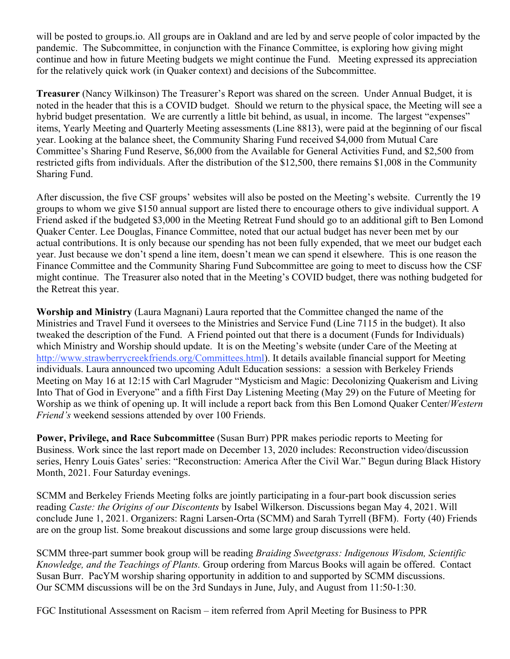will be posted to groups.io. All groups are in Oakland and are led by and serve people of color impacted by the pandemic. The Subcommittee, in conjunction with the Finance Committee, is exploring how giving might continue and how in future Meeting budgets we might continue the Fund. Meeting expressed its appreciation for the relatively quick work (in Quaker context) and decisions of the Subcommittee.

**Treasurer** (Nancy Wilkinson) The Treasurer's Report was shared on the screen. Under Annual Budget, it is noted in the header that this is a COVID budget. Should we return to the physical space, the Meeting will see a hybrid budget presentation. We are currently a little bit behind, as usual, in income. The largest "expenses" items, Yearly Meeting and Quarterly Meeting assessments (Line 8813), were paid at the beginning of our fiscal year. Looking at the balance sheet, the Community Sharing Fund received \$4,000 from Mutual Care Committee's Sharing Fund Reserve, \$6,000 from the Available for General Activities Fund, and \$2,500 from restricted gifts from individuals. After the distribution of the \$12,500, there remains \$1,008 in the Community Sharing Fund.

After discussion, the five CSF groups' websites will also be posted on the Meeting's website. Currently the 19 groups to whom we give \$150 annual support are listed there to encourage others to give individual support. A Friend asked if the budgeted \$3,000 in the Meeting Retreat Fund should go to an additional gift to Ben Lomond Quaker Center. Lee Douglas, Finance Committee, noted that our actual budget has never been met by our actual contributions. It is only because our spending has not been fully expended, that we meet our budget each year. Just because we don't spend a line item, doesn't mean we can spend it elsewhere. This is one reason the Finance Committee and the Community Sharing Fund Subcommittee are going to meet to discuss how the CSF might continue. The Treasurer also noted that in the Meeting's COVID budget, there was nothing budgeted for the Retreat this year.

**Worship and Ministry** (Laura Magnani) Laura reported that the Committee changed the name of the Ministries and Travel Fund it oversees to the Ministries and Service Fund (Line 7115 in the budget). It also tweaked the description of the Fund. A Friend pointed out that there is a document (Funds for Individuals) which Ministry and Worship should update. It is on the Meeting's website (under Care of the Meeting at http://www.strawberrycreekfriends.org/Committees.html). It details available financial support for Meeting individuals. Laura announced two upcoming Adult Education sessions: a session with Berkeley Friends Meeting on May 16 at 12:15 with Carl Magruder "Mysticism and Magic: Decolonizing Quakerism and Living Into That of God in Everyone" and a fifth First Day Listening Meeting (May 29) on the Future of Meeting for Worship as we think of opening up. It will include a report back from this Ben Lomond Quaker Center/*Western Friend's* weekend sessions attended by over 100 Friends.

**Power, Privilege, and Race Subcommittee** (Susan Burr) PPR makes periodic reports to Meeting for Business. Work since the last report made on December 13, 2020 includes: Reconstruction video/discussion series, Henry Louis Gates' series: "Reconstruction: America After the Civil War." Begun during Black History Month, 2021. Four Saturday evenings.

SCMM and Berkeley Friends Meeting folks are jointly participating in a four-part book discussion series reading *Caste: the Origins of our Discontents* by Isabel Wilkerson. Discussions began May 4, 2021. Will conclude June 1, 2021. Organizers: Ragni Larsen-Orta (SCMM) and Sarah Tyrrell (BFM). Forty (40) Friends are on the group list. Some breakout discussions and some large group discussions were held.

SCMM three-part summer book group will be reading *Braiding Sweetgrass: Indigenous Wisdom, Scientific Knowledge, and the Teachings of Plants.* Group ordering from Marcus Books will again be offered. Contact Susan Burr. PacYM worship sharing opportunity in addition to and supported by SCMM discussions. Our SCMM discussions will be on the 3rd Sundays in June, July, and August from 11:50-1:30.

FGC Institutional Assessment on Racism – item referred from April Meeting for Business to PPR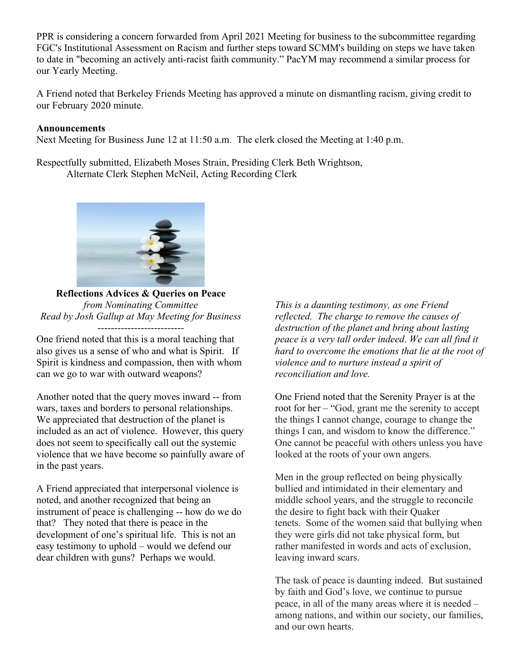PPR is considering a concern forwarded from April 2021 Meeting for business to the subcommittee regarding FGC's Institutional Assessment on Racism and further steps toward SCMM's building on steps we have taken to date in "becoming an actively anti-racist faith community." PacYM may recommend a similar process for our Yearly Meeting.

A Friend noted that Berkeley Friends Meeting has approved a minute on dismantling racism, giving credit to our February 2020 minute.

#### **Announcements**

Next Meeting for Business June 12 at 11:50 a.m. The clerk closed the Meeting at 1:40 p.m.

Respectfully submitted, Elizabeth Moses Strain, Presiding Clerk Beth Wrightson, Alternate Clerk Stephen McNeil, Acting Recording Clerk



**Reflections Advices & Queries on Peace** *from Nominating Committee Read by Josh Gallup at May Meeting for Business*

One friend noted that this is a moral teaching that also gives us a sense of who and what is Spirit. If Spirit is kindness and compassion, then with whom can we go to war with outward weapons?

Another noted that the query moves inward -- from wars, taxes and borders to personal relationships. We appreciated that destruction of the planet is included as an act of violence. However, this query does not seem to specifically call out the systemic violence that we have become so painfully aware of in the past years.

A Friend appreciated that interpersonal violence is noted, and another recognized that being an instrument of peace is challenging -- how do we do that? They noted that there is peace in the development of one's spiritual life. This is not an easy testimony to uphold – would we defend our dear children with guns? Perhaps we would.

*This is a daunting testimony, as one Friend reflected. The charge to remove the causes of destruction of the planet and bring about lasting peace is a very tall order indeed*. *We can all find it hard to overcome the emotions that lie at the root of violence and to nurture instead a spirit of reconciliation and love.*

One Friend noted that the Serenity Prayer is at the root for her – "God, grant me the serenity to accept the things I cannot change, courage to change the things I can, and wisdom to know the difference." One cannot be peaceful with others unless you have looked at the roots of your own angers.

Men in the group reflected on being physically bullied and intimidated in their elementary and middle school years, and the struggle to reconcile the desire to fight back with their Quaker tenets. Some of the women said that bullying when they were girls did not take physical form, but rather manifested in words and acts of exclusion, leaving inward scars.

The task of peace is daunting indeed. But sustained by faith and God's love, we continue to pursue peace, in all of the many areas where it is needed – among nations, and within our society, our families, and our own hearts.